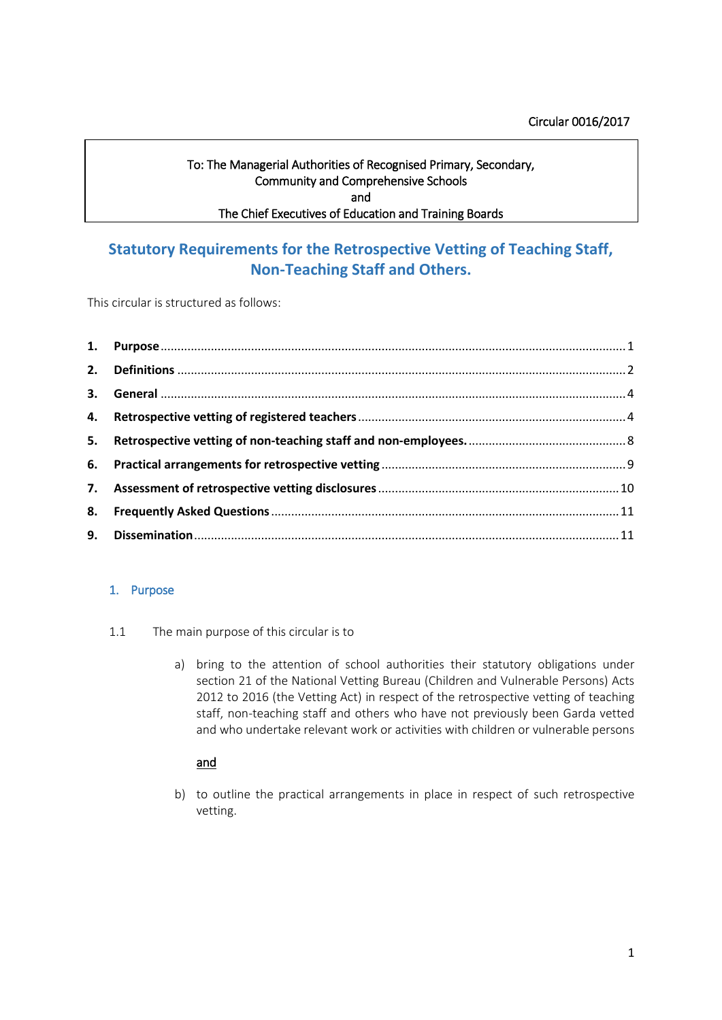## Circular 0016/2017

# To: The Managerial Authorities of Recognised Primary, Secondary, Community and Comprehensive Schools and The Chief Executives of Education and Training Boards

# **Statutory Requirements for the Retrospective Vetting of Teaching Staff, Non-Teaching Staff and Others.**

This circular is structured as follows:

## <span id="page-0-0"></span>1. Purpose

- 1.1 The main purpose of this circular is to
	- a) bring to the attention of school authorities their statutory obligations under section 21 of the National Vetting Bureau (Children and Vulnerable Persons) Acts 2012 to 2016 (the Vetting Act) in respect of the retrospective vetting of teaching staff, non-teaching staff and others who have not previously been Garda vetted and who undertake relevant work or activities with children or vulnerable persons

# and

b) to outline the practical arrangements in place in respect of such retrospective vetting.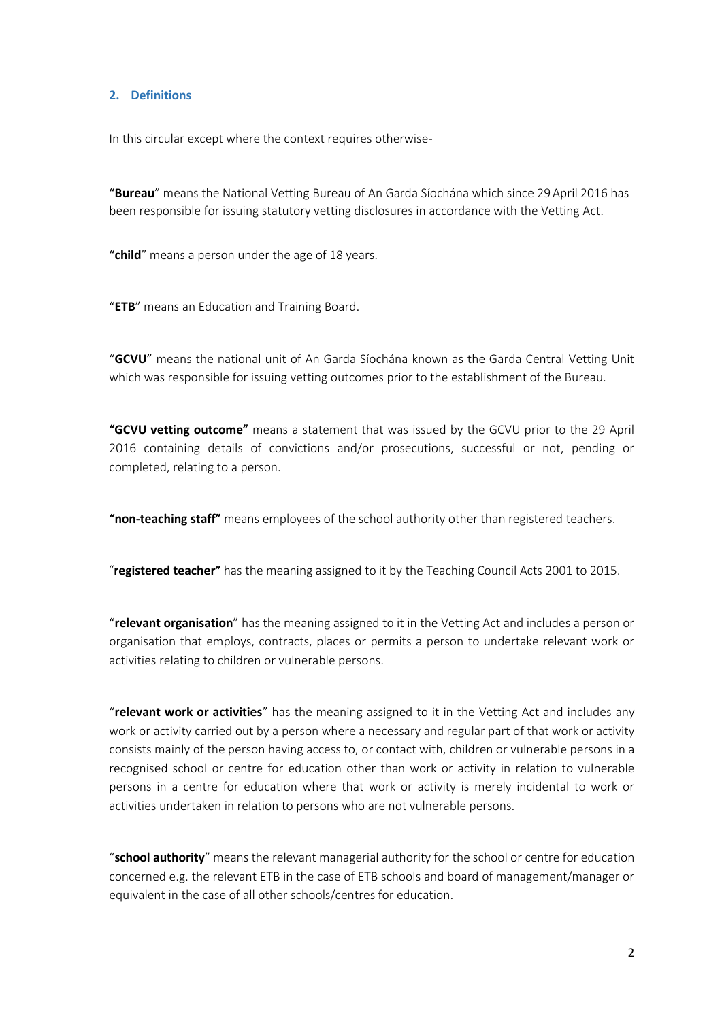#### <span id="page-1-0"></span>**2. Definitions**

In this circular except where the context requires otherwise-

"**Bureau**" means the National Vetting Bureau of An Garda Síochána which since 29 April 2016 has been responsible for issuing statutory vetting disclosures in accordance with the Vetting Act.

"**child**" means a person under the age of 18 years.

"**ETB**" means an Education and Training Board.

"**GCVU**" means the national unit of An Garda Síochána known as the Garda Central Vetting Unit which was responsible for issuing vetting outcomes prior to the establishment of the Bureau.

"**GCVU vetting outcome**" means a statement that was issued by the GCVU prior to the 29 April 2016 containing details of convictions and/or prosecutions, successful or not, pending or completed, relating to a person.

"**non-teaching staff**" means employees of the school authority other than registered teachers.

"**registered teacher**" has the meaning assigned to it by the Teaching Council Acts 2001 to 2015.

"**relevant organisation**" has the meaning assigned to it in the Vetting Act and includes a person or organisation that employs, contracts, places or permits a person to undertake relevant work or activities relating to children or vulnerable persons.

"**relevant work or activities**" has the meaning assigned to it in the Vetting Act and includes any work or activity carried out by a person where a necessary and regular part of that work or activity consists mainly of the person having access to, or contact with, children or vulnerable persons in a recognised school or centre for education other than work or activity in relation to vulnerable persons in a centre for education where that work or activity is merely incidental to work or activities undertaken in relation to persons who are not vulnerable persons.

"**school authority**" means the relevant managerial authority for the school or centre for education concerned e.g. the relevant ETB in the case of ETB schools and board of management/manager or equivalent in the case of all other schools/centres for education.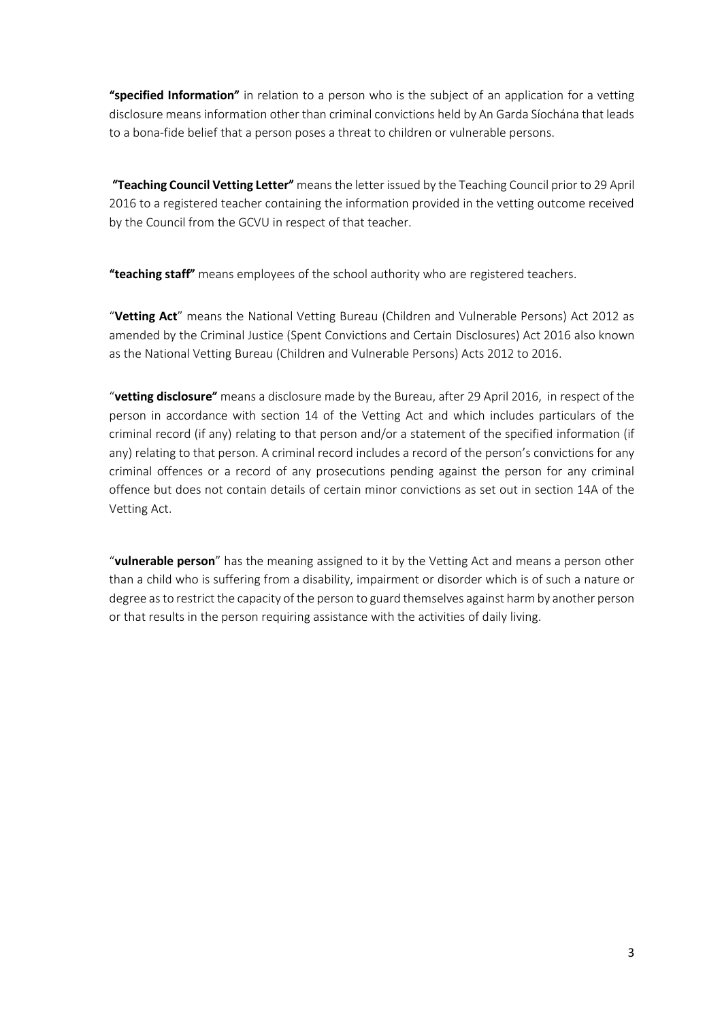"**specified Information**" in relation to a person who is the subject of an application for a vetting disclosure means information other than criminal convictions held by An Garda Síochána that leads to a bona-fide belief that a person poses a threat to children or vulnerable persons.

 "**Teaching Council Vetting Letter**" means the letter issued by the Teaching Council prior to 29 April 2016 to a registered teacher containing the information provided in the vetting outcome received by the Council from the GCVU in respect of that teacher.

"**teaching staff**" means employees of the school authority who are registered teachers.

"**Vetting Act**" means the National Vetting Bureau (Children and Vulnerable Persons) Act 2012 as amended by the Criminal Justice (Spent Convictions and Certain Disclosures) Act 2016 also known as the National Vetting Bureau (Children and Vulnerable Persons) Acts 2012 to 2016.

"**vetting disclosure**" means a disclosure made by the Bureau, after 29 April 2016, in respect of the person in accordance with section 14 of the Vetting Act and which includes particulars of the criminal record (if any) relating to that person and/or a statement of the specified information (if any) relating to that person. A criminal record includes a record of the person's convictions for any criminal offences or a record of any prosecutions pending against the person for any criminal offence but does not contain details of certain minor convictions as set out in section 14A of the Vetting Act.

"**vulnerable person**" has the meaning assigned to it by the Vetting Act and means a person other than a child who is suffering from a disability, impairment or disorder which is of such a nature or degree as to restrict the capacity of the person to guard themselves against harm by another person or that results in the person requiring assistance with the activities of daily living.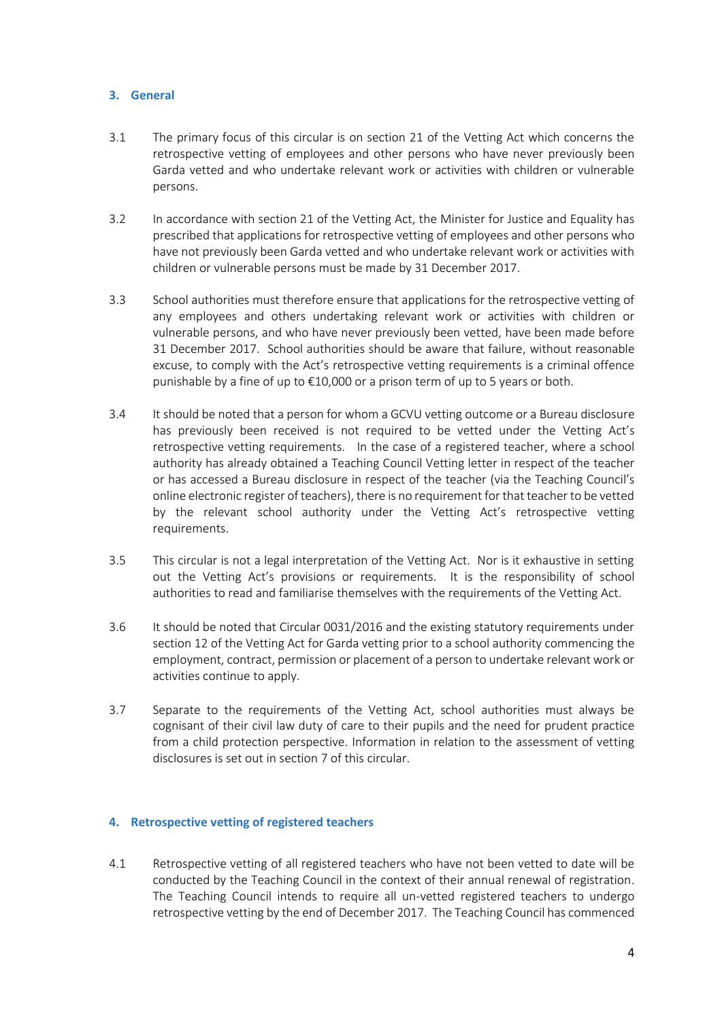## <span id="page-3-0"></span>**3. General**

- 3.1 The primary focus of this circular is on section 21 of the Vetting Act which concerns the retrospective vetting of employees and other persons who have never previously been Garda vetted and who undertake relevant work or activities with children or vulnerable persons.
- 3.2 In accordance with section 21 of the Vetting Act, the Minister for Justice and Equality has prescribed that applications for retrospective vetting of employees and other persons who have not previously been Garda vetted and who undertake relevant work or activities with children or vulnerable persons must be made by 31 December 2017.
- 3.3 School authorities must therefore ensure that applications for the retrospective vetting of any employees and others undertaking relevant work or activities with children or vulnerable persons, and who have never previously been vetted, have been made before 31 December 2017. School authorities should be aware that failure, without reasonable excuse, to comply with the Act's retrospective vetting requirements is a criminal offence punishable by a fine of up to  $\epsilon$ 10,000 or a prison term of up to 5 years or both.
- 3.4 It should be noted that a person for whom a GCVU vetting outcome or a Bureau disclosure has previously been received is not required to be vetted under the Vetting Act's retrospective vetting requirements. In the case of a registered teacher, where a school authority has already obtained a Teaching Council Vetting letter in respect of the teacher or has accessed a Bureau disclosure in respect of the teacher (via the Teaching Council's online electronic register of teachers), there is no requirement for that teacher to be vetted by the relevant school authority under the Vetting Act's retrospective vetting requirements.
- 3.5 This circular is not a legal interpretation of the Vetting Act. Nor is it exhaustive in setting out the Vetting Act's provisions or requirements. It is the responsibility of school authorities to read and familiarise themselves with the requirements of the Vetting Act.
- 3.6 It should be noted that Circular 0031/2016 and the existing statutory requirements under section 12 of the Vetting Act for Garda vetting prior to a school authority commencing the employment, contract, permission or placement of a person to undertake relevant work or activities continue to apply.
- 3.7 Separate to the requirements of the Vetting Act, school authorities must always be cognisant of their civil law duty of care to their pupils and the need for prudent practice from a child protection perspective. Information in relation to the assessment of vetting disclosures is set out in section 7 of this circular.

# <span id="page-3-1"></span>**4. Retrospective vetting of registered teachers**

4.1 Retrospective vetting of all registered teachers who have not been vetted to date will be conducted by the Teaching Council in the context of their annual renewal of registration. The Teaching Council intends to require all un-vetted registered teachers to undergo retrospective vetting by the end of December 2017. The Teaching Council has commenced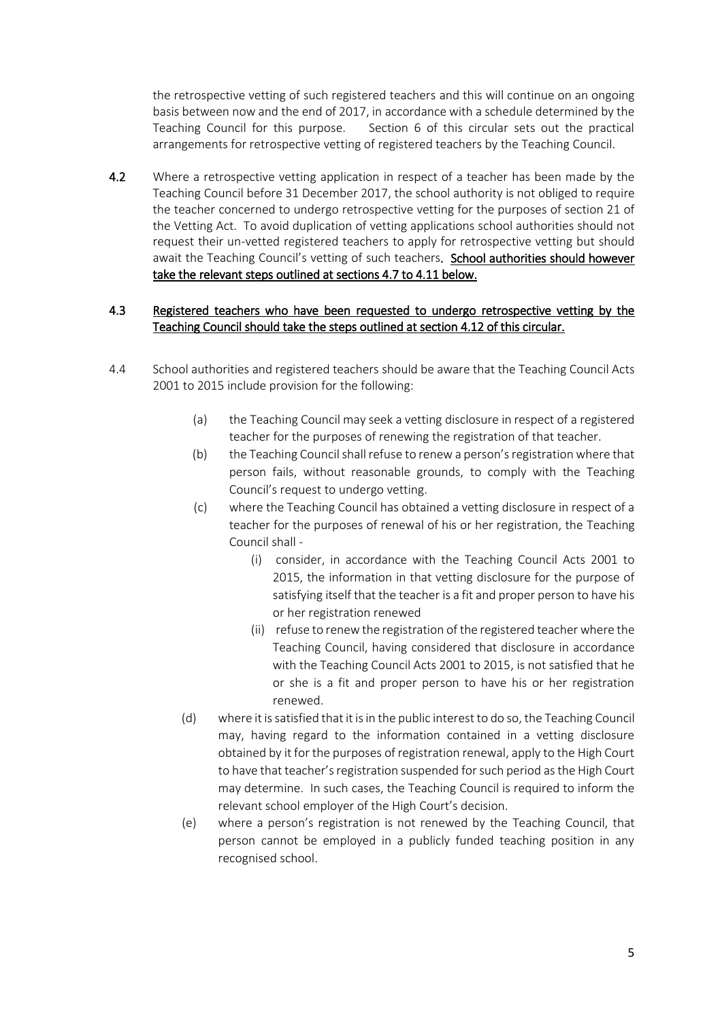the retrospective vetting of such registered teachers and this will continue on an ongoing basis between now and the end of 2017, in accordance with a schedule determined by the Teaching Council for this purpose. Section 6 of this circular sets out the practical arrangements for retrospective vetting of registered teachers by the Teaching Council.

4.2 Where a retrospective vetting application in respect of a teacher has been made by the Teaching Council before 31 December 2017, the school authority is not obliged to require the teacher concerned to undergo retrospective vetting for the purposes of section 21 of the Vetting Act. To avoid duplication of vetting applications school authorities should not request their un-vetted registered teachers to apply for retrospective vetting but should await the Teaching Council's vetting of such teachers. School authorities should however take the relevant steps outlined at sections 4.7 to 4.11 below.

# 4.3 Registered teachers who have been requested to undergo retrospective vetting by the Teaching Council should take the steps outlined at section 4.12 of this circular.

- 4.4 School authorities and registered teachers should be aware that the Teaching Council Acts 2001 to 2015 include provision for the following:
	- (a) the Teaching Council may seek a vetting disclosure in respect of a registered teacher for the purposes of renewing the registration of that teacher.
	- (b) the Teaching Council shall refuse to renew a person's registration where that person fails, without reasonable grounds, to comply with the Teaching Council's request to undergo vetting.
	- (c) where the Teaching Council has obtained a vetting disclosure in respect of a teacher for the purposes of renewal of his or her registration, the Teaching Council shall -
		- (i) consider, in accordance with the Teaching Council Acts 2001 to 2015, the information in that vetting disclosure for the purpose of satisfying itself that the teacher is a fit and proper person to have his or her registration renewed
		- (ii) refuse to renew the registration of the registered teacher where the Teaching Council, having considered that disclosure in accordance with the Teaching Council Acts 2001 to 2015, is not satisfied that he or she is a fit and proper person to have his or her registration renewed.
	- (d) where it is satisfied that it is in the public interest to do so, the Teaching Council may, having regard to the information contained in a vetting disclosure obtained by it for the purposes of registration renewal, apply to the High Court to have that teacher's registration suspended for such period as the High Court may determine. In such cases, the Teaching Council is required to inform the relevant school employer of the High Court's decision.
	- (e) where a person's registration is not renewed by the Teaching Council, that person cannot be employed in a publicly funded teaching position in any recognised school.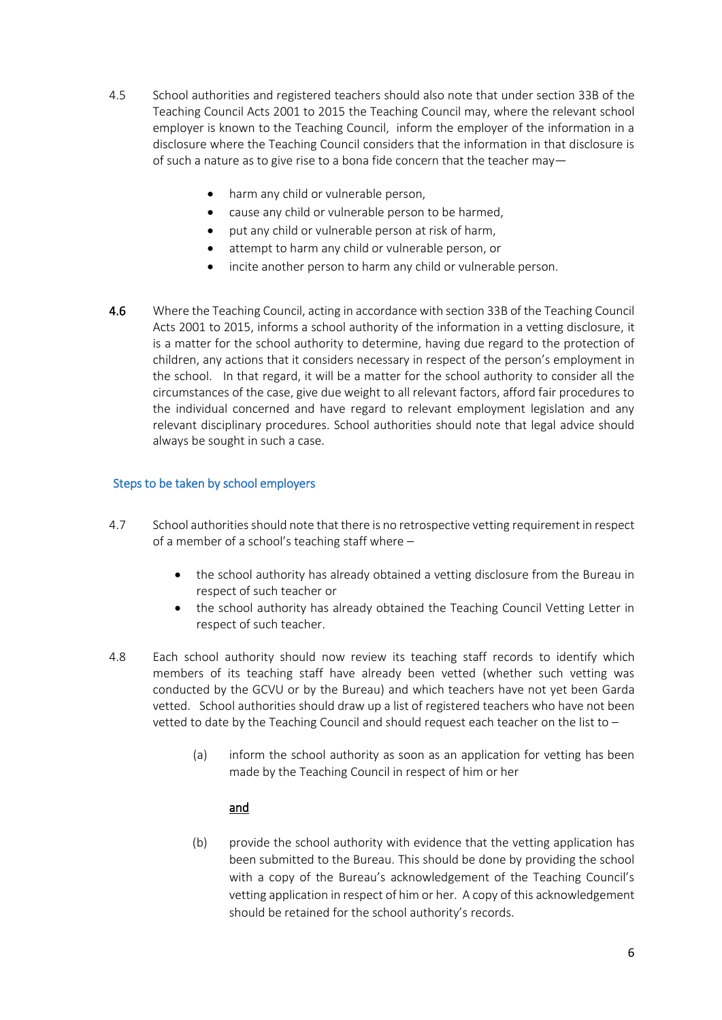- 4.5 School authorities and registered teachers should also note that under section 33B of the Teaching Council Acts 2001 to 2015 the Teaching Council may, where the relevant school employer is known to the Teaching Council, inform the employer of the information in a disclosure where the Teaching Council considers that the information in that disclosure is of such a nature as to give rise to a bona fide concern that the teacher may
	- harm any child or vulnerable person,
	- cause any child or vulnerable person to be harmed,
	- put any child or vulnerable person at risk of harm,
	- attempt to harm any child or vulnerable person, or
	- incite another person to harm any child or vulnerable person.
- 4.6 Where the Teaching Council, acting in accordance with section 33B of the Teaching Council Acts 2001 to 2015, informs a school authority of the information in a vetting disclosure, it is a matter for the school authority to determine, having due regard to the protection of children, any actions that it considers necessary in respect of the person's employment in the school. In that regard, it will be a matter for the school authority to consider all the circumstances of the case, give due weight to all relevant factors, afford fair procedures to the individual concerned and have regard to relevant employment legislation and any relevant disciplinary procedures. School authorities should note that legal advice should always be sought in such a case.

### Steps to be taken by school employers

- 4.7 School authorities should note that there is no retrospective vetting requirement in respect of a member of a school's teaching staff where –
	- the school authority has already obtained a vetting disclosure from the Bureau in respect of such teacher or
	- the school authority has already obtained the Teaching Council Vetting Letter in respect of such teacher.
- 4.8 Each school authority should now review its teaching staff records to identify which members of its teaching staff have already been vetted (whether such vetting was conducted by the GCVU or by the Bureau) and which teachers have not yet been Garda vetted. School authorities should draw up a list of registered teachers who have not been vetted to date by the Teaching Council and should request each teacher on the list to –
	- (a) inform the school authority as soon as an application for vetting has been made by the Teaching Council in respect of him or her

### and

(b) provide the school authority with evidence that the vetting application has been submitted to the Bureau. This should be done by providing the school with a copy of the Bureau's acknowledgement of the Teaching Council's vetting application in respect of him or her. A copy of this acknowledgement should be retained for the school authority's records.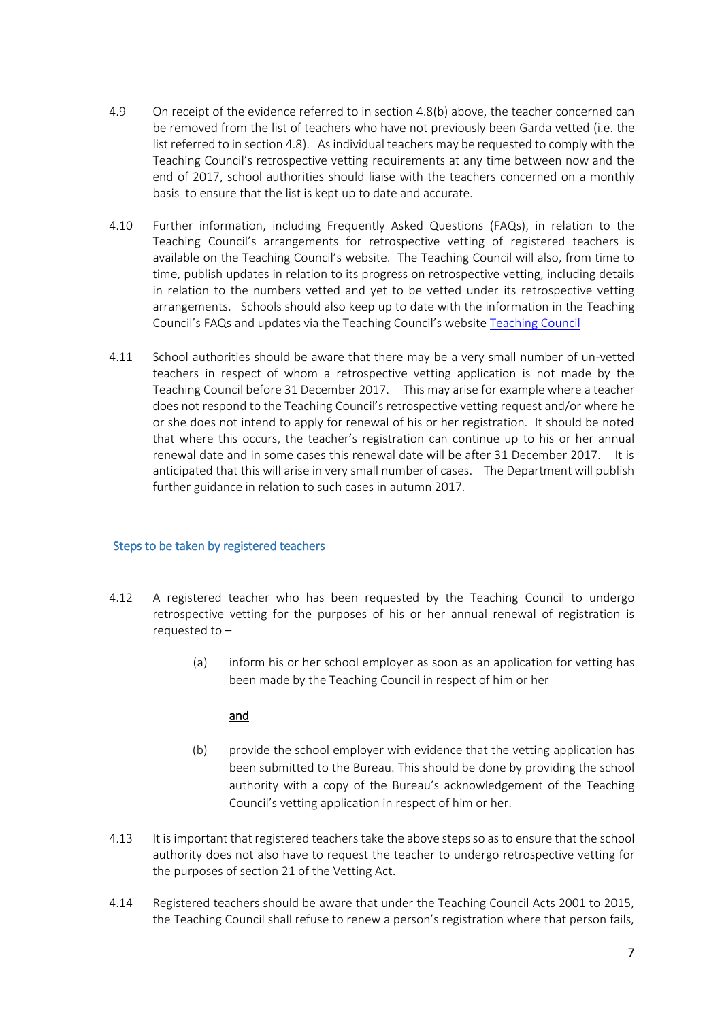- 4.9 On receipt of the evidence referred to in section 4.8(b) above, the teacher concerned can be removed from the list of teachers who have not previously been Garda vetted (i.e. the list referred to in section 4.8). As individual teachers may be requested to comply with the Teaching Council's retrospective vetting requirements at any time between now and the end of 2017, school authorities should liaise with the teachers concerned on a monthly basis to ensure that the list is kept up to date and accurate.
- 4.10 Further information, including Frequently Asked Questions (FAQs), in relation to the Teaching Council's arrangements for retrospective vetting of registered teachers is available on the Teaching Council's website. The Teaching Council will also, from time to time, publish updates in relation to its progress on retrospective vetting, including details in relation to the numbers vetted and yet to be vetted under its retrospective vetting arrangements. Schools should also keep up to date with the information in the Teaching Council's FAQs and updates via the Teaching Council's website [Teaching Council](http://www.teachingcouncil.ie/en/)
- 4.11 School authorities should be aware that there may be a very small number of un-vetted teachers in respect of whom a retrospective vetting application is not made by the Teaching Council before 31 December 2017. This may arise for example where a teacher does not respond to the Teaching Council's retrospective vetting request and/or where he or she does not intend to apply for renewal of his or her registration. It should be noted that where this occurs, the teacher's registration can continue up to his or her annual renewal date and in some cases this renewal date will be after 31 December 2017. It is anticipated that this will arise in very small number of cases. The Department will publish further guidance in relation to such cases in autumn 2017.

### Steps to be taken by registered teachers

- 4.12 A registered teacher who has been requested by the Teaching Council to undergo retrospective vetting for the purposes of his or her annual renewal of registration is requested to –
	- (a) inform his or her school employer as soon as an application for vetting has been made by the Teaching Council in respect of him or her

# and

- (b) provide the school employer with evidence that the vetting application has been submitted to the Bureau. This should be done by providing the school authority with a copy of the Bureau's acknowledgement of the Teaching Council's vetting application in respect of him or her.
- 4.13 It is important that registered teachers take the above steps so as to ensure that the school authority does not also have to request the teacher to undergo retrospective vetting for the purposes of section 21 of the Vetting Act.
- 4.14 Registered teachers should be aware that under the Teaching Council Acts 2001 to 2015, the Teaching Council shall refuse to renew a person's registration where that person fails,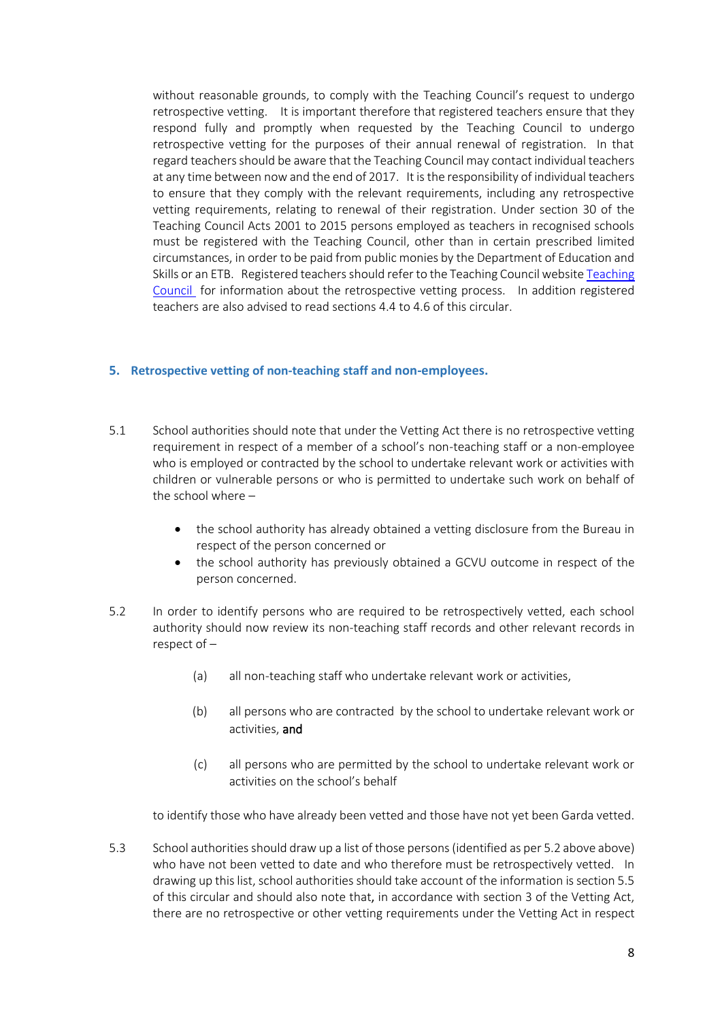without reasonable grounds, to comply with the Teaching Council's request to undergo retrospective vetting. It is important therefore that registered teachers ensure that they respond fully and promptly when requested by the Teaching Council to undergo retrospective vetting for the purposes of their annual renewal of registration. In that regard teachers should be aware that the Teaching Council may contact individual teachers at any time between now and the end of 2017. It is the responsibility of individual teachers to ensure that they comply with the relevant requirements, including any retrospective vetting requirements, relating to renewal of their registration. Under section 30 of the Teaching Council Acts 2001 to 2015 persons employed as teachers in recognised schools must be registered with the Teaching Council, other than in certain prescribed limited circumstances, in order to be paid from public monies by the Department of Education and Skills or an ETB. Registered teachers should refer to the Teaching Council websit[e Teaching](http://www.teachingcouncil.ie/en/)  [Council](http://www.teachingcouncil.ie/en/) for information about the retrospective vetting process. In addition registered teachers are also advised to read sections 4.4 to 4.6 of this circular.

### <span id="page-7-0"></span>**5. Retrospective vetting of non-teaching staff and non-employees.**

- 5.1 School authorities should note that under the Vetting Act there is no retrospective vetting requirement in respect of a member of a school's non-teaching staff or a non-employee who is employed or contracted by the school to undertake relevant work or activities with children or vulnerable persons or who is permitted to undertake such work on behalf of the school where –
	- the school authority has already obtained a vetting disclosure from the Bureau in respect of the person concerned or
	- the school authority has previously obtained a GCVU outcome in respect of the person concerned.
- 5.2 In order to identify persons who are required to be retrospectively vetted, each school authority should now review its non-teaching staff records and other relevant records in respect of –
	- (a) all non-teaching staff who undertake relevant work or activities,
	- (b) all persons who are contracted by the school to undertake relevant work or activities, and
	- (c) all persons who are permitted by the school to undertake relevant work or activities on the school's behalf

to identify those who have already been vetted and those have not yet been Garda vetted.

5.3 School authorities should draw up a list of those persons(identified as per 5.2 above above) who have not been vetted to date and who therefore must be retrospectively vetted. In drawing up this list, school authorities should take account of the information is section 5.5 of this circular and should also note that, in accordance with section 3 of the Vetting Act, there are no retrospective or other vetting requirements under the Vetting Act in respect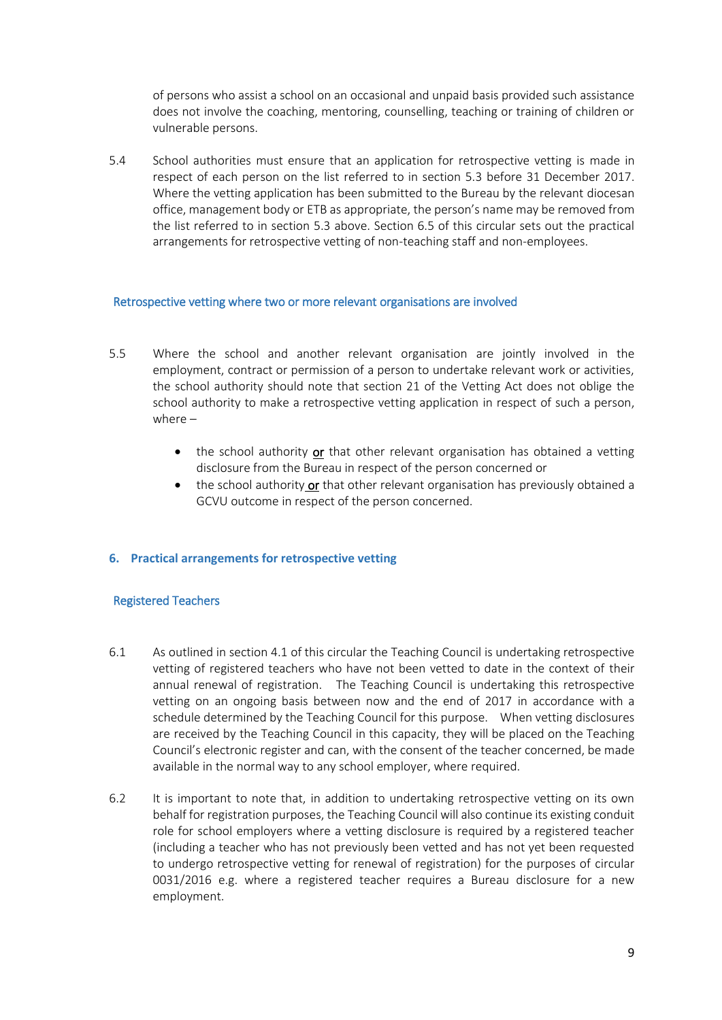of persons who assist a school on an occasional and unpaid basis provided such assistance does not involve the coaching, mentoring, counselling, teaching or training of children or vulnerable persons.

5.4 School authorities must ensure that an application for retrospective vetting is made in respect of each person on the list referred to in section 5.3 before 31 December 2017. Where the vetting application has been submitted to the Bureau by the relevant diocesan office, management body or ETB as appropriate, the person's name may be removed from the list referred to in section 5.3 above. Section 6.5 of this circular sets out the practical arrangements for retrospective vetting of non-teaching staff and non-employees.

#### Retrospective vetting where two or more relevant organisations are involved

- 5.5 Where the school and another relevant organisation are jointly involved in the employment, contract or permission of a person to undertake relevant work or activities, the school authority should note that section 21 of the Vetting Act does not oblige the school authority to make a retrospective vetting application in respect of such a person, where –
	- the school authority or that other relevant organisation has obtained a vetting disclosure from the Bureau in respect of the person concerned or
	- the school authority or that other relevant organisation has previously obtained a GCVU outcome in respect of the person concerned.

### <span id="page-8-0"></span>**6. Practical arrangements for retrospective vetting**

#### Registered Teachers

- 6.1 As outlined in section 4.1 of this circular the Teaching Council is undertaking retrospective vetting of registered teachers who have not been vetted to date in the context of their annual renewal of registration. The Teaching Council is undertaking this retrospective vetting on an ongoing basis between now and the end of 2017 in accordance with a schedule determined by the Teaching Council for this purpose. When vetting disclosures are received by the Teaching Council in this capacity, they will be placed on the Teaching Council's electronic register and can, with the consent of the teacher concerned, be made available in the normal way to any school employer, where required.
- 6.2 It is important to note that, in addition to undertaking retrospective vetting on its own behalf for registration purposes, the Teaching Council will also continue its existing conduit role for school employers where a vetting disclosure is required by a registered teacher (including a teacher who has not previously been vetted and has not yet been requested to undergo retrospective vetting for renewal of registration) for the purposes of circular 0031/2016 e.g. where a registered teacher requires a Bureau disclosure for a new employment.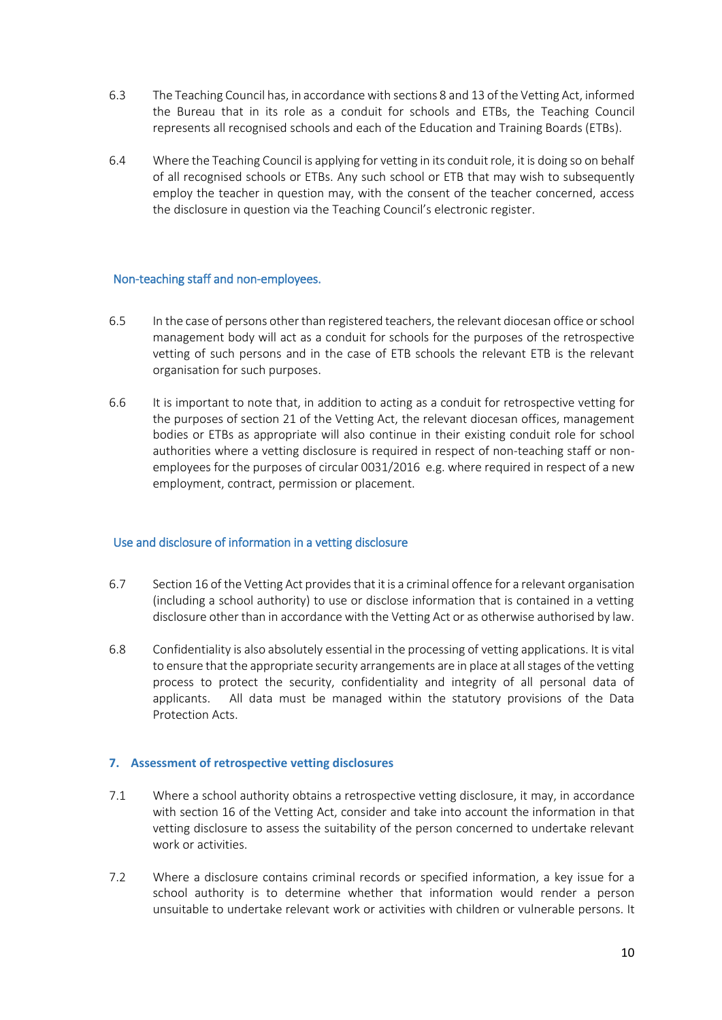- 6.3 The Teaching Council has, in accordance with sections 8 and 13 of the Vetting Act, informed the Bureau that in its role as a conduit for schools and ETBs, the Teaching Council represents all recognised schools and each of the Education and Training Boards (ETBs).
- 6.4 Where the Teaching Council is applying for vetting in its conduit role, it is doing so on behalf of all recognised schools or ETBs. Any such school or ETB that may wish to subsequently employ the teacher in question may, with the consent of the teacher concerned, access the disclosure in question via the Teaching Council's electronic register.

## Non-teaching staff and non-employees.

- 6.5 In the case of persons other than registered teachers, the relevant diocesan office or school management body will act as a conduit for schools for the purposes of the retrospective vetting of such persons and in the case of ETB schools the relevant ETB is the relevant organisation for such purposes.
- 6.6 It is important to note that, in addition to acting as a conduit for retrospective vetting for the purposes of section 21 of the Vetting Act, the relevant diocesan offices, management bodies or ETBs as appropriate will also continue in their existing conduit role for school authorities where a vetting disclosure is required in respect of non-teaching staff or nonemployees for the purposes of circular 0031/2016 e.g. where required in respect of a new employment, contract, permission or placement.

### Use and disclosure of information in a vetting disclosure

- 6.7 Section 16 of the Vetting Act provides that it is a criminal offence for a relevant organisation (including a school authority) to use or disclose information that is contained in a vetting disclosure other than in accordance with the Vetting Act or as otherwise authorised by law.
- 6.8 Confidentiality is also absolutely essential in the processing of vetting applications. It is vital to ensure that the appropriate security arrangements are in place at all stages of the vetting process to protect the security, confidentiality and integrity of all personal data of applicants. All data must be managed within the statutory provisions of the Data Protection Acts.

### <span id="page-9-0"></span>**7. Assessment of retrospective vetting disclosures**

- 7.1 Where a school authority obtains a retrospective vetting disclosure, it may, in accordance with section 16 of the Vetting Act, consider and take into account the information in that vetting disclosure to assess the suitability of the person concerned to undertake relevant work or activities.
- 7.2 Where a disclosure contains criminal records or specified information, a key issue for a school authority is to determine whether that information would render a person unsuitable to undertake relevant work or activities with children or vulnerable persons. It